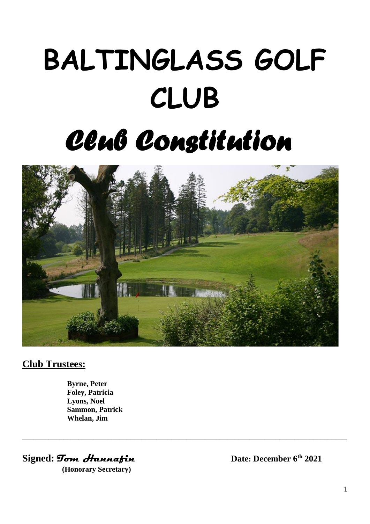# **BALTINGLASS GOLF CLUB** *Club Constitution*



\_\_\_\_\_\_\_\_\_\_\_\_\_\_\_\_\_\_\_\_\_\_\_\_\_\_\_\_\_\_\_\_\_\_\_\_\_\_\_\_\_\_\_\_\_\_\_\_\_\_\_\_\_\_\_\_\_\_\_\_\_\_\_\_\_\_\_\_\_\_\_\_\_\_\_\_\_\_\_\_\_\_\_\_\_\_\_

## **Club Trustees:**

**Byrne, Peter Foley, Patricia Lyons, Noel Sammon, Patrick Whelan, Jim**

**Signed:** *Tom Hannafin Date:* **December 6<sup>th</sup> 2021** 

 **(Honorary Secretary)**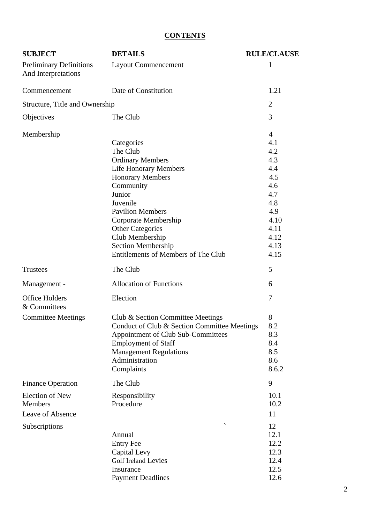## **CONTENTS**

| <b>SUBJECT</b>                                        | <b>DETAILS</b>                                                                                                                                                                                                                                                         | <b>RULE/CLAUSE</b>                                                                                            |
|-------------------------------------------------------|------------------------------------------------------------------------------------------------------------------------------------------------------------------------------------------------------------------------------------------------------------------------|---------------------------------------------------------------------------------------------------------------|
| <b>Preliminary Definitions</b><br>And Interpretations | <b>Layout Commencement</b>                                                                                                                                                                                                                                             | 1                                                                                                             |
| Commencement                                          | Date of Constitution                                                                                                                                                                                                                                                   | 1.21                                                                                                          |
| Structure, Title and Ownership                        |                                                                                                                                                                                                                                                                        | $\overline{2}$                                                                                                |
| Objectives                                            | The Club                                                                                                                                                                                                                                                               | 3                                                                                                             |
| Membership                                            | Categories<br>The Club<br><b>Ordinary Members</b><br><b>Life Honorary Members</b><br><b>Honorary Members</b><br>Community<br>Junior<br>Juvenile<br><b>Pavilion Members</b><br>Corporate Membership<br><b>Other Categories</b><br>Club Membership<br>Section Membership | $\overline{4}$<br>4.1<br>4.2<br>4.3<br>4.4<br>4.5<br>4.6<br>4.7<br>4.8<br>4.9<br>4.10<br>4.11<br>4.12<br>4.13 |
|                                                       | Entitlements of Members of The Club                                                                                                                                                                                                                                    | 4.15                                                                                                          |
| <b>Trustees</b>                                       | The Club                                                                                                                                                                                                                                                               | 5                                                                                                             |
| Management -                                          | <b>Allocation of Functions</b>                                                                                                                                                                                                                                         | 6                                                                                                             |
| <b>Office Holders</b><br>& Committees                 | Election                                                                                                                                                                                                                                                               | 7                                                                                                             |
| <b>Committee Meetings</b>                             | Club & Section Committee Meetings<br>Conduct of Club & Section Committee Meetings<br>Appointment of Club Sub-Committees<br><b>Employment of Staff</b><br><b>Management Regulations</b><br>Administration<br>Complaints                                                 | 8<br>8.2<br>8.3<br>8.4<br>8.5<br>8.6<br>8.6.2                                                                 |
| <b>Finance Operation</b>                              | The Club                                                                                                                                                                                                                                                               | 9                                                                                                             |
| <b>Election of New</b><br>Members<br>Leave of Absence | Responsibility<br>Procedure                                                                                                                                                                                                                                            | 10.1<br>10.2<br>11                                                                                            |
| Subscriptions                                         | Annual<br><b>Entry Fee</b><br>Capital Levy<br><b>Golf Ireland Levies</b><br>Insurance<br><b>Payment Deadlines</b>                                                                                                                                                      | 12<br>12.1<br>12.2<br>12.3<br>12.4<br>12.5<br>12.6                                                            |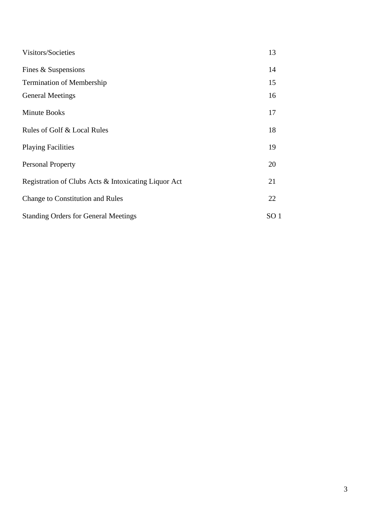| Visitors/Societies                                   | 13 |  |
|------------------------------------------------------|----|--|
| Fines & Suspensions                                  | 14 |  |
| <b>Termination of Membership</b>                     | 15 |  |
| <b>General Meetings</b>                              | 16 |  |
| <b>Minute Books</b>                                  | 17 |  |
| Rules of Golf & Local Rules                          | 18 |  |
| <b>Playing Facilities</b>                            | 19 |  |
| <b>Personal Property</b>                             | 20 |  |
| Registration of Clubs Acts & Intoxicating Liquor Act | 21 |  |
| <b>Change to Constitution and Rules</b>              |    |  |
| <b>Standing Orders for General Meetings</b>          |    |  |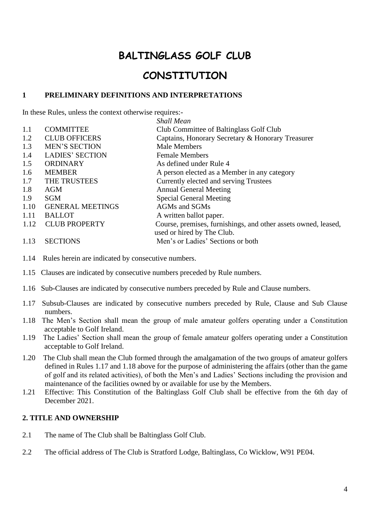# **BALTINGLASS GOLF CLUB**

# **CONSTITUTION**

#### **1 PRELIMINARY DEFINITIONS AND INTERPRETATIONS**

In these Rules, unless the context otherwise requires:-

|      |                         | <b>Shall Mean</b>                                              |
|------|-------------------------|----------------------------------------------------------------|
| 1.1  | <b>COMMITTEE</b>        | Club Committee of Baltinglass Golf Club                        |
| 1.2  | <b>CLUB OFFICERS</b>    | Captains, Honorary Secretary & Honorary Treasurer              |
| 1.3  | <b>MEN'S SECTION</b>    | Male Members                                                   |
| 1.4  | <b>LADIES' SECTION</b>  | <b>Female Members</b>                                          |
| 1.5  | <b>ORDINARY</b>         | As defined under Rule 4                                        |
| 1.6  | <b>MEMBER</b>           | A person elected as a Member in any category                   |
| 1.7  | THE TRUSTEES            | Currently elected and serving Trustees                         |
| 1.8  | AGM                     | <b>Annual General Meeting</b>                                  |
| 1.9  | <b>SGM</b>              | <b>Special General Meeting</b>                                 |
| 1.10 | <b>GENERAL MEETINGS</b> | <b>AGMs and SGMs</b>                                           |
| 1.11 | <b>BALLOT</b>           | A written ballot paper.                                        |
| 1.12 | <b>CLUB PROPERTY</b>    | Course, premises, furnishings, and other assets owned, leased, |
|      |                         | used or hired by The Club.                                     |
| 1.13 | <b>SECTIONS</b>         | Men's or Ladies' Sections or both                              |

- 1.14 Rules herein are indicated by consecutive numbers.
- 1.15 Clauses are indicated by consecutive numbers preceded by Rule numbers.
- 1.16 Sub-Clauses are indicated by consecutive numbers preceded by Rule and Clause numbers.
- 1.17 Subsub-Clauses are indicated by consecutive numbers preceded by Rule, Clause and Sub Clause numbers.
- 1.18 The Men's Section shall mean the group of male amateur golfers operating under a Constitution acceptable to Golf Ireland.
- 1.19 The Ladies' Section shall mean the group of female amateur golfers operating under a Constitution acceptable to Golf Ireland.
- 1.20 The Club shall mean the Club formed through the amalgamation of the two groups of amateur golfers defined in Rules 1.17 and 1.18 above for the purpose of administering the affairs (other than the game of golf and its related activities), of both the Men's and Ladies' Sections including the provision and maintenance of the facilities owned by or available for use by the Members.
- 1.21 Effective: This Constitution of the Baltinglass Golf Club shall be effective from the 6th day of December 2021.

#### **2. TITLE AND OWNERSHIP**

- 2.1 The name of The Club shall be Baltinglass Golf Club.
- 2.2 The official address of The Club is Stratford Lodge, Baltinglass, Co Wicklow, W91 PE04.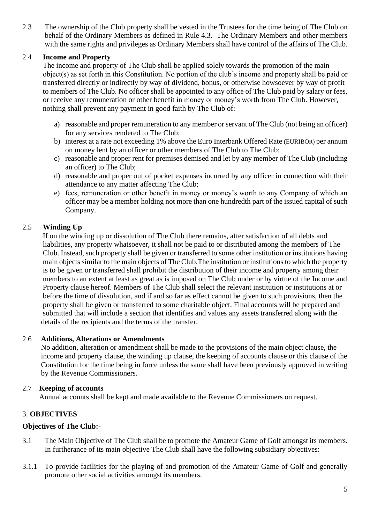2.3 The ownership of the Club property shall be vested in the Trustees for the time being of The Club on behalf of the Ordinary Members as defined in Rule 4.3. The Ordinary Members and other members with the same rights and privileges as Ordinary Members shall have control of the affairs of The Club.

#### 2.4 **Income and Property**

 The income and property of The Club shall be applied solely towards the promotion of the main object(s) as set forth in this Constitution. No portion of the club's income and property shall be paid or transferred directly or indirectly by way of dividend, bonus, or otherwise howsoever by way of profit to members of The Club. No officer shall be appointed to any office of The Club paid by salary or fees, or receive any remuneration or other benefit in money or money's worth from The Club. However, nothing shall prevent any payment in good faith by The Club of:

- a) reasonable and proper remuneration to any member or servant of The Club (not being an officer) for any services rendered to The Club;
- b) interest at a rate not exceeding 1% above the Euro Interbank Offered Rate (EURIBOR) per annum on money lent by an officer or other members of The Club to The Club;
- c) reasonable and proper rent for premises demised and let by any member of The Club (including an officer) to The Club;
- d) reasonable and proper out of pocket expenses incurred by any officer in connection with their attendance to any matter affecting The Club;
- e) fees, remuneration or other benefit in money or money's worth to any Company of which an officer may be a member holding not more than one hundredth part of the issued capital of such Company.

#### 2.5 **Winding Up**

If on the winding up or dissolution of The Club there remains, after satisfaction of all debts and liabilities, any property whatsoever, it shall not be paid to or distributed among the members of The Club. Instead, such property shall be given or transferred to some other institution or institutions having main objects similar to the main objects of The Club.The institution or institutions to which the property is to be given or transferred shall prohibit the distribution of their income and property among their members to an extent at least as great as is imposed on The Club under or by virtue of the Income and Property clause hereof. Members of The Club shall select the relevant institution or institutions at or before the time of dissolution, and if and so far as effect cannot be given to such provisions, then the property shall be given or transferred to some charitable object. Final accounts will be prepared and submitted that will include a section that identifies and values any assets transferred along with the details of the recipients and the terms of the transfer.

#### 2.6 **Additions, Alterations or Amendments**

No addition, alteration or amendment shall be made to the provisions of the main object clause, the income and property clause, the winding up clause, the keeping of accounts clause or this clause of the Constitution for the time being in force unless the same shall have been previously approved in writing by the Revenue Commissioners.

#### 2.7 **Keeping of accounts**

Annual accounts shall be kept and made available to the Revenue Commissioners on request.

#### 3. **OBJECTIVES**

#### **Objectives of The Club:-**

- 3.1 The Main Objective of The Club shall be to promote the Amateur Game of Golf amongst its members. In furtherance of its main objective The Club shall have the following subsidiary objectives:
- 3.1.1 To provide facilities for the playing of and promotion of the Amateur Game of Golf and generally promote other social activities amongst its members.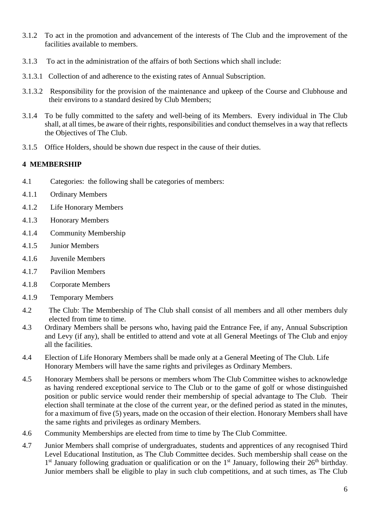- 3.1.2 To act in the promotion and advancement of the interests of The Club and the improvement of the facilities available to members.
- 3.1.3 To act in the administration of the affairs of both Sections which shall include:
- 3.1.3.1 Collection of and adherence to the existing rates of Annual Subscription.
- 3.1.3.2 Responsibility for the provision of the maintenance and upkeep of the Course and Clubhouse and their environs to a standard desired by Club Members;
- 3.1.4 To be fully committed to the safety and well-being of its Members. Every individual in The Club shall, at all times, be aware of their rights, responsibilities and conduct themselves in a way that reflects the Objectives of The Club.
- 3.1.5 Office Holders, should be shown due respect in the cause of their duties.

#### **4 MEMBERSHIP**

- 4.1 Categories: the following shall be categories of members:
- 4.1.1 Ordinary Members
- 4.1.2 Life Honorary Members
- 4.1.3 Honorary Members
- 4.1.4 Community Membership
- 4.1.5 Junior Members
- 4.1.6 Juvenile Members
- 4.1.7 Pavilion Members
- 4.1.8 Corporate Members
- 4.1.9 Temporary Members
- 4.2 The Club: The Membership of The Club shall consist of all members and all other members duly elected from time to time.
- 4.3 Ordinary Members shall be persons who, having paid the Entrance Fee, if any, Annual Subscription and Levy (if any), shall be entitled to attend and vote at all General Meetings of The Club and enjoy all the facilities.
- 4.4 Election of Life Honorary Members shall be made only at a General Meeting of The Club. Life Honorary Members will have the same rights and privileges as Ordinary Members.
- 4.5 Honorary Members shall be persons or members whom The Club Committee wishes to acknowledge as having rendered exceptional service to The Club or to the game of golf or whose distinguished position or public service would render their membership of special advantage to The Club. Their election shall terminate at the close of the current year, or the defined period as stated in the minutes, for a maximum of five (5) years, made on the occasion of their election. Honorary Members shall have the same rights and privileges as ordinary Members.
- 4.6 Community Memberships are elected from time to time by The Club Committee.
- 4.7 Junior Members shall comprise of undergraduates, students and apprentices of any recognised Third Level Educational Institution, as The Club Committee decides. Such membership shall cease on the 1<sup>st</sup> January following graduation or qualification or on the 1<sup>st</sup> January, following their 26<sup>th</sup> birthday. Junior members shall be eligible to play in such club competitions, and at such times, as The Club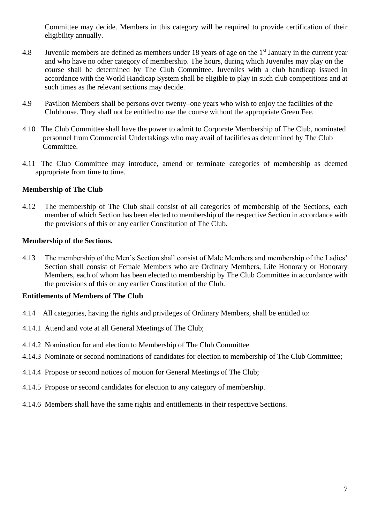Committee may decide. Members in this category will be required to provide certification of their eligibility annually.

- 4.8 Juvenile members are defined as members under 18 years of age on the 1st January in the current year and who have no other category of membership. The hours, during which Juveniles may play on the course shall be determined by The Club Committee. Juveniles with a club handicap issued in accordance with the World Handicap System shall be eligible to play in such club competitions and at such times as the relevant sections may decide.
- 4.9 Pavilion Members shall be persons over twenty–one years who wish to enjoy the facilities of the Clubhouse. They shall not be entitled to use the course without the appropriate Green Fee.
- 4.10 The Club Committee shall have the power to admit to Corporate Membership of The Club, nominated personnel from Commercial Undertakings who may avail of facilities as determined by The Club Committee.
- 4.11 The Club Committee may introduce, amend or terminate categories of membership as deemed appropriate from time to time.

#### **Membership of The Club**

4.12 The membership of The Club shall consist of all categories of membership of the Sections, each member of which Section has been elected to membership of the respective Section in accordance with the provisions of this or any earlier Constitution of The Club.

#### **Membership of the Sections.**

4.13 The membership of the Men's Section shall consist of Male Members and membership of the Ladies' Section shall consist of Female Members who are Ordinary Members, Life Honorary or Honorary Members, each of whom has been elected to membership by The Club Committee in accordance with the provisions of this or any earlier Constitution of the Club.

#### **Entitlements of Members of The Club**

- 4.14 All categories, having the rights and privileges of Ordinary Members, shall be entitled to:
- 4.14.1 Attend and vote at all General Meetings of The Club;
- 4.14.2 Nomination for and election to Membership of The Club Committee
- 4.14.3 Nominate or second nominations of candidates for election to membership of The Club Committee;
- 4.14.4 Propose or second notices of motion for General Meetings of The Club;
- 4.14.5 Propose or second candidates for election to any category of membership.
- 4.14.6 Members shall have the same rights and entitlements in their respective Sections.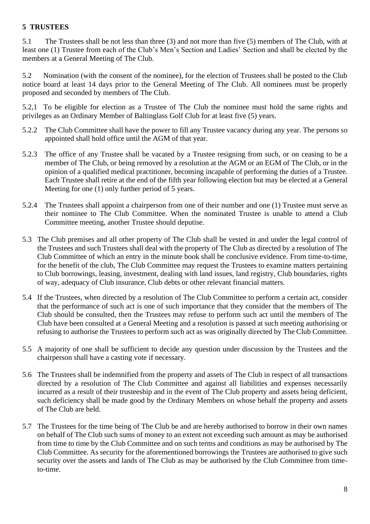#### **5 TRUSTEES**

5.1 The Trustees shall be not less than three (3) and not more than five (5) members of The Club, with at least one (1) Trustee from each of the Club's Men's Section and Ladies' Section and shall be elected by the members at a General Meeting of The Club.

5.2 Nomination (with the consent of the nominee), for the election of Trustees shall be posted to the Club notice board at least 14 days prior to the General Meeting of The Club. All nominees must be properly proposed and seconded by members of The Club.

5.2,1 To be eligible for election as a Trustee of The Club the nominee must hold the same rights and privileges as an Ordinary Member of Baltinglass Golf Club for at least five (5) years.

- 5.2.2 The Club Committee shall have the power to fill any Trustee vacancy during any year. The persons so appointed shall hold office until the AGM of that year.
- 5.2.3 The office of any Trustee shall be vacated by a Trustee resigning from such, or on ceasing to be a member of The Club, or being removed by a resolution at the AGM or an EGM of The Club, or in the opinion of a qualified medical practitioner, becoming incapable of performing the duties of a Trustee. Each Trustee shall retire at the end of the fifth year following election but may be elected at a General Meeting for one (1) only further period of 5 years.
- 5.2.4 The Trustees shall appoint a chairperson from one of their number and one (1) Trustee must serve as their nominee to The Club Committee. When the nominated Trustee is unable to attend a Club Committee meeting, another Trustee should deputise.
- 5.3 The Club premises and all other property of The Club shall be vested in and under the legal control of the Trustees and such Trustees shall deal with the property of The Club as directed by a resolution of The Club Committee of which an entry in the minute book shall be conclusive evidence. From time-to-time, for the benefit of the club, The Club Committee may request the Trustees to examine matters pertaining to Club borrowings, leasing, investment, dealing with land issues, land registry, Club boundaries, rights of way, adequacy of Club insurance, Club debts or other relevant financial matters.
- 5.4 If the Trustees, when directed by a resolution of The Club Committee to perform a certain act, consider that the performance of such act is one of such importance that they consider that the members of The Club should be consulted, then the Trustees may refuse to perform such act until the members of The Club have been consulted at a General Meeting and a resolution is passed at such meeting authorising or refusing to authorise the Trustees to perform such act as was originally directed by The Club Committee.
- 5.5 A majority of one shall be sufficient to decide any question under discussion by the Trustees and the chairperson shall have a casting vote if necessary.
- 5.6 The Trustees shall be indemnified from the property and assets of The Club in respect of all transactions directed by a resolution of The Club Committee and against all liabilities and expenses necessarily incurred as a result of their trusteeship and in the event of The Club property and assets being deficient, such deficiency shall be made good by the Ordinary Members on whose behalf the property and assets of The Club are held.
- 5.7 The Trustees for the time being of The Club be and are hereby authorised to borrow in their own names on behalf of The Club such sums of money to an extent not exceeding such amount as may be authorised from time to time by the Club Committee and on such terms and conditions as may be authorised by The Club Committee. As security for the aforementioned borrowings the Trustees are authorised to give such security over the assets and lands of The Club as may be authorised by the Club Committee from timeto-time.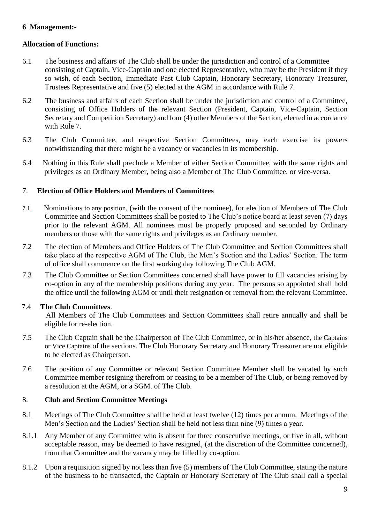#### **6 Management:-**

#### **Allocation of Functions:**

- 6.1 The business and affairs of The Club shall be under the jurisdiction and control of a Committee consisting of Captain, Vice-Captain and one elected Representative, who may be the President if they so wish, of each Section, Immediate Past Club Captain, Honorary Secretary, Honorary Treasurer, Trustees Representative and five (5) elected at the AGM in accordance with Rule 7.
- 6.2 The business and affairs of each Section shall be under the jurisdiction and control of a Committee, consisting of Office Holders of the relevant Section (President, Captain, Vice-Captain, Section Secretary and Competition Secretary) and four (4) other Members of the Section, elected in accordance with Rule 7.
- 6.3 The Club Committee, and respective Section Committees, may each exercise its powers notwithstanding that there might be a vacancy or vacancies in its membership.
- 6.4 Nothing in this Rule shall preclude a Member of either Section Committee, with the same rights and privileges as an Ordinary Member, being also a Member of The Club Committee, or vice-versa.

#### 7. **Election of Office Holders and Members of Committees**

- 7.1. Nominations to any position, (with the consent of the nominee), for election of Members of The Club Committee and Section Committees shall be posted to The Club's notice board at least seven (7) days prior to the relevant AGM. All nominees must be properly proposed and seconded by Ordinary members or those with the same rights and privileges as an Ordinary member.
- 7.2 The election of Members and Office Holders of The Club Committee and Section Committees shall take place at the respective AGM of The Club, the Men's Section and the Ladies' Section. The term of office shall commence on the first working day following The Club AGM.
- 7.3 The Club Committee or Section Committees concerned shall have power to fill vacancies arising by co-option in any of the membership positions during any year. The persons so appointed shall hold the office until the following AGM or until their resignation or removal from the relevant Committee.

#### 7.4 **The Club Committees**.

 All Members of The Club Committees and Section Committees shall retire annually and shall be eligible for re-election.

- 7.5 The Club Captain shall be the Chairperson of The Club Committee, or in his/her absence, the Captains or Vice Captains of the sections. The Club Honorary Secretary and Honorary Treasurer are not eligible to be elected as Chairperson.
- 7.6 The position of any Committee or relevant Section Committee Member shall be vacated by such Committee member resigning therefrom or ceasing to be a member of The Club, or being removed by a resolution at the AGM, or a SGM. of The Club.

#### 8. **Club and Section Committee Meetings**

- 8.1 Meetings of The Club Committee shall be held at least twelve (12) times per annum. Meetings of the Men's Section and the Ladies' Section shall be held not less than nine (9) times a year.
- 8.1.1 Any Member of any Committee who is absent for three consecutive meetings, or five in all, without acceptable reason, may be deemed to have resigned, (at the discretion of the Committee concerned), from that Committee and the vacancy may be filled by co-option.
- 8.1.2 Upon a requisition signed by not less than five (5) members of The Club Committee, stating the nature of the business to be transacted, the Captain or Honorary Secretary of The Club shall call a special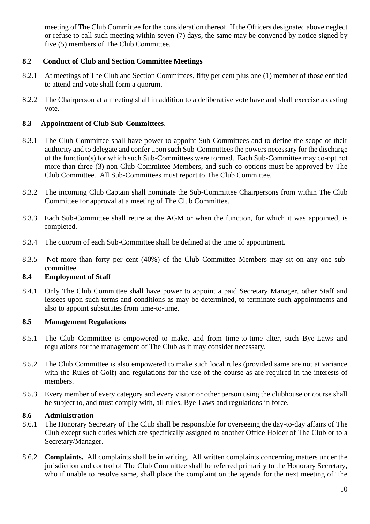meeting of The Club Committee for the consideration thereof. If the Officers designated above neglect or refuse to call such meeting within seven (7) days, the same may be convened by notice signed by five (5) members of The Club Committee.

#### **8.2 Conduct of Club and Section Committee Meetings**

- 8.2.1 At meetings of The Club and Section Committees, fifty per cent plus one (1) member of those entitled to attend and vote shall form a quorum.
- 8.2.2 The Chairperson at a meeting shall in addition to a deliberative vote have and shall exercise a casting vote.

#### **8.3 Appointment of Club Sub-Committees**.

- 8.3.1 The Club Committee shall have power to appoint Sub-Committees and to define the scope of their authority and to delegate and confer upon such Sub-Committees the powers necessary for the discharge of the function(s) for which such Sub-Committees were formed. Each Sub-Committee may co-opt not more than three (3) non-Club Committee Members, and such co-options must be approved by The Club Committee. All Sub-Committees must report to The Club Committee.
- 8.3.2 The incoming Club Captain shall nominate the Sub-Committee Chairpersons from within The Club Committee for approval at a meeting of The Club Committee.
- 8.3.3 Each Sub-Committee shall retire at the AGM or when the function, for which it was appointed, is completed.
- 8.3.4 The quorum of each Sub-Committee shall be defined at the time of appointment.
- 8.3.5 Not more than forty per cent (40%) of the Club Committee Members may sit on any one subcommittee.

#### **8.4 Employment of Staff**

8.4.1 Only The Club Committee shall have power to appoint a paid Secretary Manager, other Staff and lessees upon such terms and conditions as may be determined, to terminate such appointments and also to appoint substitutes from time-to-time.

#### **8.5 Management Regulations**

- 8.5.1 The Club Committee is empowered to make, and from time-to-time alter, such Bye-Laws and regulations for the management of The Club as it may consider necessary.
- 8.5.2 The Club Committee is also empowered to make such local rules (provided same are not at variance with the Rules of Golf) and regulations for the use of the course as are required in the interests of members.
- 8.5.3 Every member of every category and every visitor or other person using the clubhouse or course shall be subject to, and must comply with, all rules, Bye-Laws and regulations in force.

#### **8.6 Administration**

- 8.6.1 The Honorary Secretary of The Club shall be responsible for overseeing the day-to-day affairs of The Club except such duties which are specifically assigned to another Office Holder of The Club or to a Secretary/Manager.
- 8.6.2 **Complaints.** All complaints shall be in writing. All written complaints concerning matters under the jurisdiction and control of The Club Committee shall be referred primarily to the Honorary Secretary, who if unable to resolve same, shall place the complaint on the agenda for the next meeting of The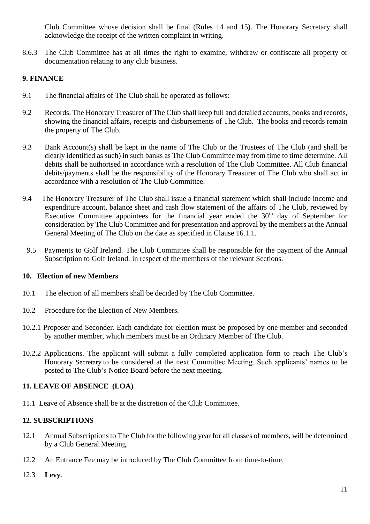Club Committee whose decision shall be final (Rules 14 and 15). The Honorary Secretary shall acknowledge the receipt of the written complaint in writing.

8.6.3 The Club Committee has at all times the right to examine, withdraw or confiscate all property or documentation relating to any club business.

#### **9. FINANCE**

- 9.1 The financial affairs of The Club shall be operated as follows:
- 9.2 Records. The Honorary Treasurer of The Club shall keep full and detailed accounts, books and records, showing the financial affairs, receipts and disbursements of The Club. The books and records remain the property of The Club.
- 9.3 Bank Account(s) shall be kept in the name of The Club or the Trustees of The Club (and shall be clearly identified as such) in such banks as The Club Committee may from time to time determine. All debits shall be authorised in accordance with a resolution of The Club Committee. All Club financial debits/payments shall be the responsibility of the Honorary Treasurer of The Club who shall act in accordance with a resolution of The Club Committee.
- 9.4 The Honorary Treasurer of The Club shall issue a financial statement which shall include income and expenditure account, balance sheet and cash flow statement of the affairs of The Club, reviewed by Executive Committee appointees for the financial year ended the  $30<sup>th</sup>$  day of September for consideration by The Club Committee and for presentation and approval by the members at the Annual General Meeting of The Club on the date as specified in Clause 16.1.1.
- 9.5 Payments to Golf Ireland. The Club Committee shall be responsible for the payment of the Annual Subscription to Golf Ireland. in respect of the members of the relevant Sections.

#### **10. Election of new Members**

- 10.1 The election of all members shall be decided by The Club Committee.
- 10.2 Procedure for the Election of New Members.
- 10.2.1 Proposer and Seconder. Each candidate for election must be proposed by one member and seconded by another member, which members must be an Ordinary Member of The Club.
- 10.2.2 Applications. The applicant will submit a fully completed application form to reach The Club's Honorary Secretary to be considered at the next Committee Meeting. Such applicants' names to be posted to The Club's Notice Board before the next meeting.

#### **11. LEAVE OF ABSENCE (LOA)**

11.1 Leave of Absence shall be at the discretion of the Club Committee.

#### **12. SUBSCRIPTIONS**

- 12.1 Annual Subscriptions to The Club for the following year for all classes of members, will be determined by a Club General Meeting.
- 12.2 An Entrance Fee may be introduced by The Club Committee from time-to-time.
- 12.3 **Levy**.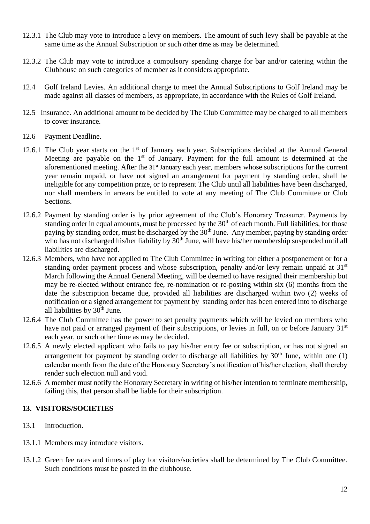- 12.3.1 The Club may vote to introduce a levy on members. The amount of such levy shall be payable at the same time as the Annual Subscription or such other time as may be determined.
- 12.3.2 The Club may vote to introduce a compulsory spending charge for bar and/or catering within the Clubhouse on such categories of member as it considers appropriate.
- 12.4 Golf Ireland Levies. An additional charge to meet the Annual Subscriptions to Golf Ireland may be made against all classes of members, as appropriate, in accordance with the Rules of Golf Ireland.
- 12.5 Insurance. An additional amount to be decided by The Club Committee may be charged to all members to cover insurance.
- 12.6 Payment Deadline.
- 12.6.1 The Club year starts on the 1<sup>st</sup> of January each year. Subscriptions decided at the Annual General Meeting are payable on the  $1<sup>st</sup>$  of January. Payment for the full amount is determined at the aforementioned meeting. After the 31<sup>st</sup> January each year, members whose subscriptions for the current year remain unpaid, or have not signed an arrangement for payment by standing order, shall be ineligible for any competition prize, or to represent The Club until all liabilities have been discharged, nor shall members in arrears be entitled to vote at any meeting of The Club Committee or Club Sections.
- 12.6.2 Payment by standing order is by prior agreement of the Club's Honorary Treasurer. Payments by standing order in equal amounts, must be processed by the  $30<sup>th</sup>$  of each month. Full liabilities, for those paying by standing order, must be discharged by the 30<sup>th</sup> June. Any member, paying by standing order who has not discharged his/her liability by 30<sup>th</sup> June, will have his/her membership suspended until all liabilities are discharged.
- 12.6.3 Members, who have not applied to The Club Committee in writing for either a postponement or for a standing order payment process and whose subscription, penalty and/or levy remain unpaid at 31<sup>st</sup> March following the Annual General Meeting, will be deemed to have resigned their membership but may be re-elected without entrance fee, re-nomination or re-posting within six (6) months from the date the subscription became due, provided all liabilities are discharged within two (2) weeks of notification or a signed arrangement for payment by standing order has been entered into to discharge all liabilities by  $30<sup>th</sup>$  June.
- 12.6.4 The Club Committee has the power to set penalty payments which will be levied on members who have not paid or arranged payment of their subscriptions, or levies in full, on or before January 31<sup>st</sup> each year, or such other time as may be decided.
- 12.6.5 A newly elected applicant who fails to pay his/her entry fee or subscription, or has not signed an arrangement for payment by standing order to discharge all liabilities by  $30<sup>th</sup>$  June, within one (1) calendar month from the date of the Honorary Secretary's notification of his/her election, shall thereby render such election null and void.
- 12.6.6 A member must notify the Honorary Secretary in writing of his/her intention to terminate membership, failing this, that person shall be liable for their subscription.

#### **13. VISITORS/SOCIETIES**

- 13.1 Introduction.
- 13.1.1 Members may introduce visitors.
- 13.1.2 Green fee rates and times of play for visitors/societies shall be determined by The Club Committee. Such conditions must be posted in the clubhouse.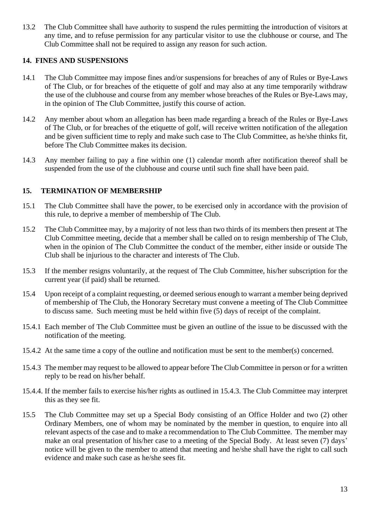13.2 The Club Committee shall have authority to suspend the rules permitting the introduction of visitors at any time, and to refuse permission for any particular visitor to use the clubhouse or course, and The Club Committee shall not be required to assign any reason for such action.

#### **14. FINES AND SUSPENSIONS**

- 14.1 The Club Committee may impose fines and/or suspensions for breaches of any of Rules or Bye-Laws of The Club, or for breaches of the etiquette of golf and may also at any time temporarily withdraw the use of the clubhouse and course from any member whose breaches of the Rules or Bye-Laws may, in the opinion of The Club Committee, justify this course of action.
- 14.2 Any member about whom an allegation has been made regarding a breach of the Rules or Bye-Laws of The Club, or for breaches of the etiquette of golf, will receive written notification of the allegation and be given sufficient time to reply and make such case to The Club Committee, as he/she thinks fit, before The Club Committee makes its decision.
- 14.3 Any member failing to pay a fine within one (1) calendar month after notification thereof shall be suspended from the use of the clubhouse and course until such fine shall have been paid.

#### **15. TERMINATION OF MEMBERSHIP**

- 15.1 The Club Committee shall have the power, to be exercised only in accordance with the provision of this rule, to deprive a member of membership of The Club.
- 15.2 The Club Committee may, by a majority of not less than two thirds of its members then present at The Club Committee meeting, decide that a member shall be called on to resign membership of The Club, when in the opinion of The Club Committee the conduct of the member, either inside or outside The Club shall be injurious to the character and interests of The Club.
- 15.3 If the member resigns voluntarily, at the request of The Club Committee, his/her subscription for the current year (if paid) shall be returned.
- 15.4 Upon receipt of a complaint requesting, or deemed serious enough to warrant a member being deprived of membership of The Club, the Honorary Secretary must convene a meeting of The Club Committee to discuss same. Such meeting must be held within five (5) days of receipt of the complaint.
- 15.4.1 Each member of The Club Committee must be given an outline of the issue to be discussed with the notification of the meeting.
- 15.4.2 At the same time a copy of the outline and notification must be sent to the member(s) concerned.
- 15.4.3 The member may request to be allowed to appear before The Club Committee in person or for a written reply to be read on his/her behalf.
- 15.4.4. If the member fails to exercise his/her rights as outlined in 15.4.3. The Club Committee may interpret this as they see fit.
- 15.5 The Club Committee may set up a Special Body consisting of an Office Holder and two (2) other Ordinary Members, one of whom may be nominated by the member in question, to enquire into all relevant aspects of the case and to make a recommendation to The Club Committee. The member may make an oral presentation of his/her case to a meeting of the Special Body. At least seven (7) days' notice will be given to the member to attend that meeting and he/she shall have the right to call such evidence and make such case as he/she sees fit.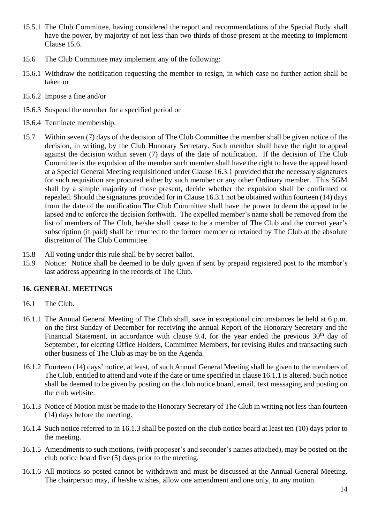- 15.5.1 The Club Committee, having considered the report and recommendations of the Special Body shall have the power, by majority of not less than two thirds of those present at the meeting to implement Clause 15.6.
- 15.6 The Club Committee may implement any of the following:
- 15.6.1 Withdraw the notification requesting the member to resign, in which case no further action shall be taken or
- 15.6.2 Impose a fine and/or
- 15.6.3 Suspend the member for a specified period or
- 15.6.4 Terminate membership.
- 15.7 Within seven (7) days of the decision of The Club Committee the member shall be given notice of the decision, in writing, by the Club Honorary Secretary. Such member shall have the right to appeal against the decision within seven (7) days of the date of notification. If the decision of The Club Committee is the expulsion of the member such member shall have the right to have the appeal heard at a Special General Meeting requisitioned under Clause 16.3.1 provided that the necessary signatures for such requisition are procured either by such member or any other Ordinary member. This SGM shall by a simple majority of those present, decide whether the expulsion shall be confirmed or repealed. Should the signatures provided for in Clause 16.3.1 not be obtained within fourteen (14) days from the date of the notification The Club Committee shall have the power to deem the appeal to be lapsed and to enforce the decision forthwith. The expelled member's name shall be removed from the list of members of The Club, he/she shall cease to be a member of The Club and the current year's subscription (if paid) shall be returned to the former member or retained by The Club at the absolute discretion of The Club Committee.
- 15.8 All voting under this rule shall be by secret ballot.
- 15.9 Notice: Notice shall be deemed to be duly given if sent by prepaid registered post to the member's last address appearing in the records of The Club.

#### **16. GENERAL MEETINGS**

- 16.1 The Club.
- 16.1.1 The Annual General Meeting of The Club shall, save in exceptional circumstances be held at 6 p.m. on the first Sunday of December for receiving the annual Report of the Honorary Secretary and the Financial Statement, in accordance with clause 9.4, for the year ended the previous  $30<sup>th</sup>$  day of September, for electing Office Holders, Committee Members, for revising Rules and transacting such other business of The Club as may be on the Agenda.
- 16.1.2 Fourteen (14) days' notice, at least, of such Annual General Meeting shall be given to the members of The Club, entitled to attend and vote if the date or time specified in clause 16.1.1 is altered. Such notice shall be deemed to be given by posting on the club notice board, email, text messaging and posting on the club website.
- 16.1.3 Notice of Motion must be made to the Honorary Secretary of The Club in writing not less than fourteen (14) days before the meeting.
- 16.1.4 Such notice referred to in 16.1.3 shall be posted on the club notice board at least ten (10) days prior to the meeting.
- 16.1.5 Amendments to such motions, (with proposer's and seconder's names attached), may be posted on the club notice board five (5) days prior to the meeting.
- 16.1.6 All motions so posted cannot be withdrawn and must be discussed at the Annual General Meeting. The chairperson may, if he/she wishes, allow one amendment and one only, to any motion.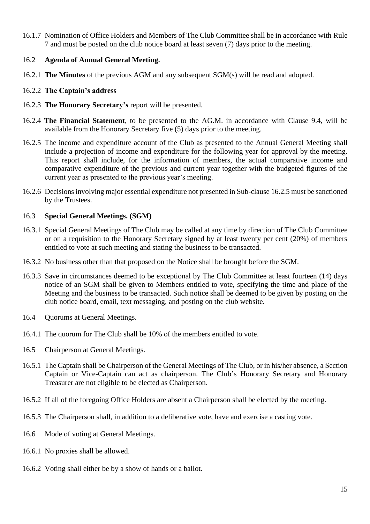16.1.7 Nomination of Office Holders and Members of The Club Committee shall be in accordance with Rule 7 and must be posted on the club notice board at least seven (7) days prior to the meeting.

#### 16.2 **Agenda of Annual General Meeting.**

16.2.1 **The Minutes** of the previous AGM and any subsequent SGM(s) will be read and adopted.

#### 16.2.2 **The Captain's address**

- 16.2.3 **The Honorary Secretary's** report will be presented.
- 16.2.4 **The Financial Statement**, to be presented to the AG.M. in accordance with Clause 9.4, will be available from the Honorary Secretary five (5) days prior to the meeting.
- 16.2.5 The income and expenditure account of the Club as presented to the Annual General Meeting shall include a projection of income and expenditure for the following year for approval by the meeting. This report shall include, for the information of members, the actual comparative income and comparative expenditure of the previous and current year together with the budgeted figures of the current year as presented to the previous year's meeting.
- 16.2.6 Decisions involving major essential expenditure not presented in Sub-clause 16.2.5 must be sanctioned by the Trustees.

#### 16.3 **Special General Meetings. (SGM)**

- 16.3.1 Special General Meetings of The Club may be called at any time by direction of The Club Committee or on a requisition to the Honorary Secretary signed by at least twenty per cent (20%) of members entitled to vote at such meeting and stating the business to be transacted.
- 16.3.2 No business other than that proposed on the Notice shall be brought before the SGM.
- 16.3.3 Save in circumstances deemed to be exceptional by The Club Committee at least fourteen (14) days notice of an SGM shall be given to Members entitled to vote, specifying the time and place of the Meeting and the business to be transacted. Such notice shall be deemed to be given by posting on the club notice board, email, text messaging, and posting on the club website.
- 16.4 Quorums at General Meetings.
- 16.4.1 The quorum for The Club shall be 10% of the members entitled to vote.
- 16.5 Chairperson at General Meetings.
- 16.5.1 The Captain shall be Chairperson of the General Meetings of The Club, or in his/her absence, a Section Captain or Vice-Captain can act as chairperson. The Club's Honorary Secretary and Honorary Treasurer are not eligible to be elected as Chairperson.
- 16.5.2 If all of the foregoing Office Holders are absent a Chairperson shall be elected by the meeting.
- 16.5.3 The Chairperson shall, in addition to a deliberative vote, have and exercise a casting vote.
- 16.6 Mode of voting at General Meetings.
- 16.6.1 No proxies shall be allowed.
- 16.6.2 Voting shall either be by a show of hands or a ballot.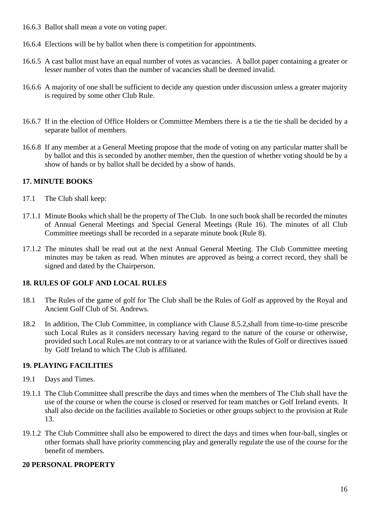- 16.6.3 Ballot shall mean a vote on voting paper.
- 16.6.4 Elections will be by ballot when there is competition for appointments.
- 16.6.5 A cast ballot must have an equal number of votes as vacancies. A ballot paper containing a greater or lesser number of votes than the number of vacancies shall be deemed invalid.
- 16.6.6 A majority of one shall be sufficient to decide any question under discussion unless a greater majority is required by some other Club Rule.
- 16.6.7 If in the election of Office Holders or Committee Members there is a tie the tie shall be decided by a separate ballot of members.
- 16.6.8 If any member at a General Meeting propose that the mode of voting on any particular matter shall be by ballot and this is seconded by another member, then the question of whether voting should be by a show of hands or by ballot shall be decided by a show of hands.

#### **17. MINUTE BOOKS**

- 17.1 The Club shall keep:
- 17.1.1 Minute Books which shall be the property of The Club. In one such book shall be recorded the minutes of Annual General Meetings and Special General Meetings (Rule 16). The minutes of all Club Committee meetings shall be recorded in a separate minute book (Rule 8).
- 17.1.2 The minutes shall be read out at the next Annual General Meeting. The Club Committee meeting minutes may be taken as read. When minutes are approved as being a correct record, they shall be signed and dated by the Chairperson.

#### **18. RULES OF GOLF AND LOCAL RULES**

- 18.1 The Rules of the game of golf for The Club shall be the Rules of Golf as approved by the Royal and Ancient Golf Club of St. Andrews.
- 18.2 In addition, The Club Committee, in compliance with Clause 8.5.2,shall from time-to-time prescribe such Local Rules as it considers necessary having regard to the nature of the course or otherwise, provided such Local Rules are not contrary to or at variance with the Rules of Golf or directives issued by Golf Ireland to which The Club is affiliated.

#### **19. PLAYING FACILITIES**

- 19.1 Days and Times.
- 19.1.1 The Club Committee shall prescribe the days and times when the members of The Club shall have the use of the course or when the course is closed or reserved for team matches or Golf Ireland events. It shall also decide on the facilities available to Societies or other groups subject to the provision at Rule 13.
- 19.1.2 The Club Committee shall also be empowered to direct the days and times when four-ball, singles or other formats shall have priority commencing play and generally regulate the use of the course for the benefit of members.

#### **20 PERSONAL PROPERTY**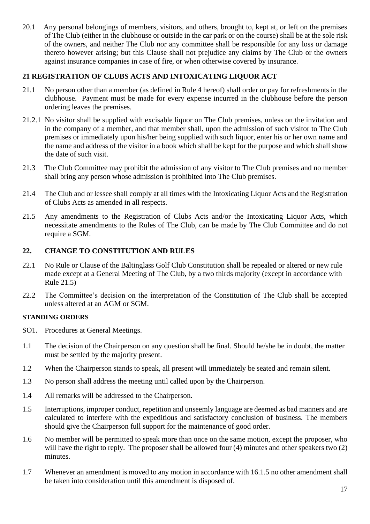20.1 Any personal belongings of members, visitors, and others, brought to, kept at, or left on the premises of The Club (either in the clubhouse or outside in the car park or on the course) shall be at the sole risk of the owners, and neither The Club nor any committee shall be responsible for any loss or damage thereto however arising; but this Clause shall not prejudice any claims by The Club or the owners against insurance companies in case of fire, or when otherwise covered by insurance.

#### **21 REGISTRATION OF CLUBS ACTS AND INTOXICATING LIQUOR ACT**

- 21.1 No person other than a member (as defined in Rule 4 hereof) shall order or pay for refreshments in the clubhouse. Payment must be made for every expense incurred in the clubhouse before the person ordering leaves the premises.
- 21.2.1 No visitor shall be supplied with excisable liquor on The Club premises, unless on the invitation and in the company of a member, and that member shall, upon the admission of such visitor to The Club premises or immediately upon his/her being supplied with such liquor, enter his or her own name and the name and address of the visitor in a book which shall be kept for the purpose and which shall show the date of such visit.
- 21.3 The Club Committee may prohibit the admission of any visitor to The Club premises and no member shall bring any person whose admission is prohibited into The Club premises.
- 21.4 The Club and or lessee shall comply at all times with the Intoxicating Liquor Acts and the Registration of Clubs Acts as amended in all respects.
- 21.5 Any amendments to the Registration of Clubs Acts and/or the Intoxicating Liquor Acts, which necessitate amendments to the Rules of The Club, can be made by The Club Committee and do not require a SGM.

#### **22. CHANGE TO CONSTITUTION AND RULES**

- 22.1 No Rule or Clause of the Baltinglass Golf Club Constitution shall be repealed or altered or new rule made except at a General Meeting of The Club, by a two thirds majority (except in accordance with Rule 21.5)
- 22.2 The Committee's decision on the interpretation of the Constitution of The Club shall be accepted unless altered at an AGM or SGM.

#### **STANDING ORDERS**

- SO1. Procedures at General Meetings.
- 1.1 The decision of the Chairperson on any question shall be final. Should he/she be in doubt, the matter must be settled by the majority present.
- 1.2 When the Chairperson stands to speak, all present will immediately be seated and remain silent.
- 1.3 No person shall address the meeting until called upon by the Chairperson.
- 1.4 All remarks will be addressed to the Chairperson.
- 1.5 Interruptions, improper conduct, repetition and unseemly language are deemed as bad manners and are calculated to interfere with the expeditious and satisfactory conclusion of business. The members should give the Chairperson full support for the maintenance of good order.
- 1.6 No member will be permitted to speak more than once on the same motion, except the proposer, who will have the right to reply. The proposer shall be allowed four (4) minutes and other speakers two (2) minutes.
- 1.7 Whenever an amendment is moved to any motion in accordance with 16.1.5 no other amendment shall be taken into consideration until this amendment is disposed of.